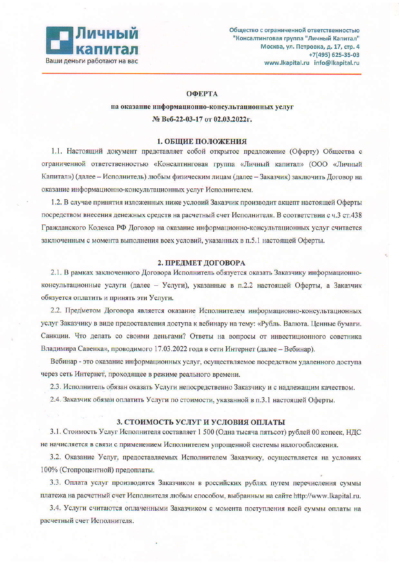

### **ОФЕРТА**

# на оказание информационно-консультационных услуг № Веб-22-03-17 от 02.03.2022г.

### 1. ОБЩИЕ ПОЛОЖЕНИЯ

1.1. Настоящий документ представляет собой открытое предложение (Оферту) Общества с ограниченной ответственностью «Консалтинговая группа «Личный капитал» (ООО «Личный Капитал») (далее - Исполнитель) любым физическим лицам (далее - Заказчик) заключить Договор на оказание информационно-консультационных услуг Исполнителем.

1.2. В случае принятия изложенных ниже условий Заказчик производит акцепт настоящей Оферты посредством внесения денежных средств на расчетный счет Исполнителя. В соответствии с ч.3 ст.438 Гражданского Кодекса РФ Договор на оказание информационно-консультационных услуг считается заключенным с момента выполнения всех условий, указанных в п.5.1 настоящей Оферты.

### 2. ПРЕДМЕТ ДОГОВОРА

2.1. В рамках заключенного Договора Исполнитель обязуется оказать Заказчику информационноконсультационные услуги (далее - Услуги), указанные в п.2.2 настоящей Оферты, а Заказчик обязуется оплатить и принять эти Услуги.

2.2. Предметом Договора является оказание Исполнителем информационно-консультационных услуг Заказчику в виде предоставления доступа к вебинару на тему: «Рубль. Валюта. Ценные бумаги. Санкции. Что делать со своими деньгами? Ответы на вопросы от инвестиционного советника Владимира Савенка», проводимого 17.03.2022 года в сети Интернет (далее - Вебинар).

Вебинар - это оказание информационных услуг, осуществляемое посредством удаленного доступа через сеть Интернет, проходящее в режиме реального времени.

2.3. Исполнитель обязан оказать Услуги непосредственно Заказчику и с надлежащим качеством.

2.4. Заказчик обязан оплатить Услуги по стоимости, указанной в п.3.1 настоящей Оферты.

### 3. СТОИМОСТЬ УСЛУГ И УСЛОВИЯ ОПЛАТЫ

3.1. Стоимость Услуг Исполнителя составляет 1 500 (Одна тысяча пятьсот) рублей 00 копеек, НДС не начисляется в связи с применением Исполнителем упрощенной системы налогообложения.

3.2. Оказание Услуг, предоставляемых Исполнителем Заказчику, осуществляется на условиях 100% (Стопроцентной) предоплаты.

3.3. Оплата услуг производится Заказчиком в российских рублях путем перечисления суммы платежа на расчетный счет Исполнителя любым способом, выбранным на сайте http://www.lkapital.ru.

3.4. Услуги считаются оплаченными Заказчиком с момента поступления всей суммы оплаты на расчетный счет Исполнителя.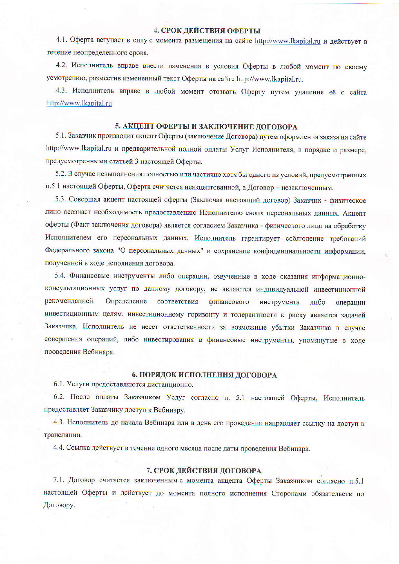## 4. СРОК ДЕЙСТВИЯ ОФЕРТЫ

4.1. Оферта вступает в силу с момента размещения на сайте http://www.lkapital.ru и действует в течение неопределенного срока.

4.2. Исполнитель вправе внести изменения в условия Оферты в любой момент по своему усмотрению, разместив измененный текст Оферты на сайте http://www.lkapital.ru.

4.3. Исполнитель вправе в любой момент отозвать Оферту путем удаления её с сайта http://www.lkapital.ru

### 5. АКЦЕПТ ОФЕРТЫ И ЗАКЛЮЧЕНИЕ ДОГОВОРА

5.1. Заказчик производит акцепт Оферты (заключение Договора) путем оформления заказа на сайте http://www.lkapital.ru и предварительной полной оплаты Услуг Исполнителя, в порядке и размере, предусмотренными статьей 3 настоящей Оферты.

5.2. В случае невыполнения полностью или частично хотя бы одного из условий, предусмотренных п.5.1 настоящей Оферты, Оферта считается неакцептованной, а Договор - незаключенным.

5.3. Совершая акцепт настоящей оферты (Заключая настоящий договор) Заказчик - физическое лицо осознает необходимость предоставлению Исполнителю своих персональных данных. Акцепт оферты (Факт заключения договора) является согласием Заказчика - физического лица на обработку Исполнителем его персональных данных. Исполнитель гарантирует соблюдение требований Федерального закона "О персональных данных" и сохранение конфиденциальности информации, полученной в ходе исполнения договора.

5.4. Финансовые инструменты либо операции, озвученные в ходе оказания информационноконсультационных услуг по данному договору, не являются индивидуальной инвестиционной рекомендацией. Определение соответствия финансового инструмента либо операции инвестиционным целям, инвестиционному горизонту и толерантности к риску является задачей Заказчика. Исполнитель не несет ответственности за возможные убытки Заказчика в случае совершения операций, либо инвестирования в финансовые инструменты, упомянутые в ходе проведения Вебинара.

### 6. ПОРЯДОК ИСПОЛНЕНИЯ ДОГОВОРА

6.1. Услуги предоставляются дистанционно.

6.2. После оплаты Заказчиком Услуг согласно п. 5.1 настоящей Оферты, Исполнитель предоставляет Заказчику доступ к Вебинару.

4.3. Исполнитель до начала Вебинара или в день его проведения направляет ссылку на доступ к трансляции.

4.4. Ссылка действует в течение одного месяца после даты проведения Вебинара.

### 7. СРОК ДЕЙСТВИЯ ДОГОВОРА

7.1. Договор считается заключенным с момента акцепта Оферты Заказчиком согласно п.5.1 настоящей Оферты и действует до момента полного исполнения Сторонами обязательств по Договору.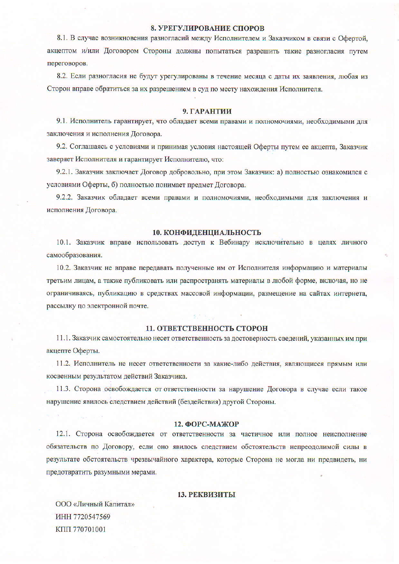### 8. УРЕГУЛИРОВАНИЕ СПОРОВ

8.1. В случае возникновения разногласий между Исполнителем и Заказчиком в связи с Офертой, акцептом и/или Договором Стороны должны попытаться разрешить такие разногласия путем переговоров.

8.2. Если разногласия не будут урегулированы в течение месяца с даты их заявления, любая из Сторон вправе обратиться за их разрешением в суд по месту нахождения Исполнителя.

#### 9. ГАРАНТИИ

9.1. Исполнитель гарантирует, что обладает всеми правами и полномочиями, необходимыми для заключения и исполнения Договора.

9.2. Соглашаясь с условиями и принимая условия настоящей Оферты путем ее акцепта, Заказчик заверяет Исполнителя и гарантирует Исполнителю, что:

9.2.1. Заказчик заключает Договор добровольно, при этом Заказчик: а) полностью ознакомился с условиями Оферты, б) полностью понимает предмет Договора.

9.2.2. Заказчик обладает всеми правами и полномочиями, необходимыми для заключения и исполнения Договора.

#### 10. КОНФИДЕНЦИАЛЬНОСТЬ

10.1. Заказчик вправе использовать доступ к Вебинару исключительно в целях личного самообразования.

10.2. Заказчик не вправе передавать полученные им от Исполнителя информацию и материалы третьим лицам, а также публиковать или распространять материалы в любой форме, включая, но не ограничиваясь, публикацию в средствах массовой информации, размещение на сайтах интернета, рассылку по электронной почте.

### 11. ОТВЕТСТВЕННОСТЬ СТОРОН

11.1. Заказчик самостоятельно несет ответственность за достоверность сведений, указанных им при акцепте Оферты.

11.2. Исполнитель не несет ответственности за какие-либо действия, являющиеся прямым или косвенным результатом действий Заказчика.

11.3. Сторона освобождается от ответственности за нарушение Договора в случае если такое нарушение явилось следствием действий (бездействия) другой Стороны.

### 12. ФОРС-МАЖОР

12.1. Сторона освобождается от ответственности за частичное или полное неисполнение обязательств по Договору, если оно явилось следствием обстоятельств непреодолимой силы в результате обстоятельств чрезвычайного характера, которые Сторона не могла ни предвидеть, ни предотвратить разумными мерами.

### 13. РЕКВИЗИТЫ

ООО «Личный Капитал» ИНН 7720547569 **КПП 770701001**